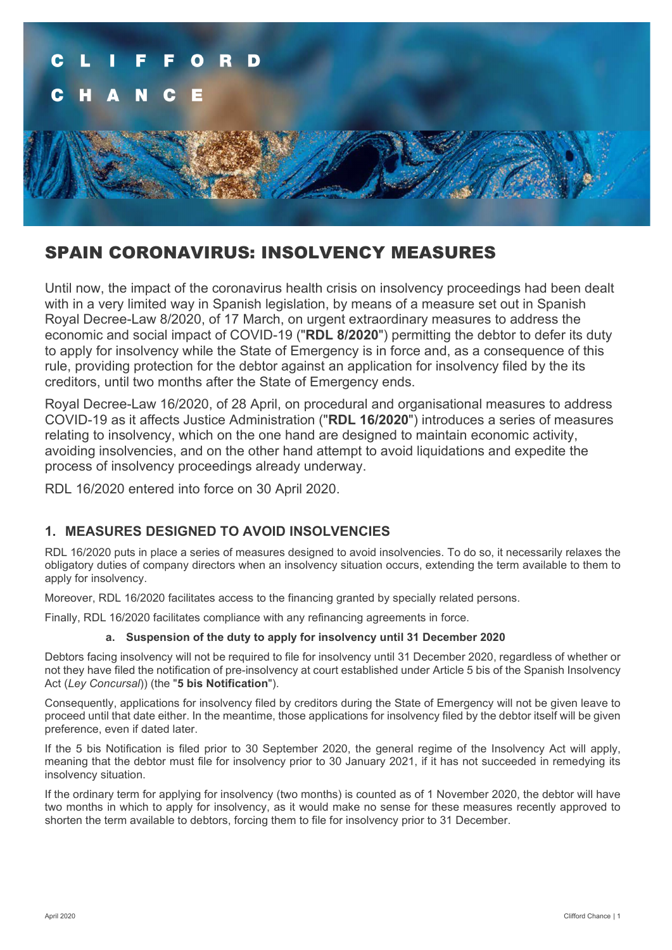

# SPAIN CORONAVIRUS: INSOLVENCY MEASURES

Until now, the impact of the coronavirus health crisis on insolvency proceedings had been dealt with in a very limited way in Spanish legislation, by means of a measure set out in Spanish Royal Decree-Law 8/2020, of 17 March, on urgent extraordinary measures to address the economic and social impact of COVID-19 ("**RDL 8/2020**") permitting the debtor to defer its duty to apply for insolvency while the State of Emergency is in force and, as a consequence of this rule, providing protection for the debtor against an application for insolvency filed by the its creditors, until two months after the State of Emergency ends.

Royal Decree-Law 16/2020, of 28 April, on procedural and organisational measures to address COVID-19 as it affects Justice Administration ("**RDL 16/2020**") introduces a series of measures relating to insolvency, which on the one hand are designed to maintain economic activity, avoiding insolvencies, and on the other hand attempt to avoid liquidations and expedite the process of insolvency proceedings already underway.

RDL 16/2020 entered into force on 30 April 2020.

## **1. MEASURES DESIGNED TO AVOID INSOLVENCIES**

RDL 16/2020 puts in place a series of measures designed to avoid insolvencies. To do so, it necessarily relaxes the obligatory duties of company directors when an insolvency situation occurs, extending the term available to them to apply for insolvency.

Moreover, RDL 16/2020 facilitates access to the financing granted by specially related persons.

Finally, RDL 16/2020 facilitates compliance with any refinancing agreements in force.

### **a. Suspension of the duty to apply for insolvency until 31 December 2020**

Debtors facing insolvency will not be required to file for insolvency until 31 December 2020, regardless of whether or not they have filed the notification of pre-insolvency at court established under Article 5 bis of the Spanish Insolvency Act (*Ley Concursal*)) (the "**5 bis Notification**").

Consequently, applications for insolvency filed by creditors during the State of Emergency will not be given leave to proceed until that date either. In the meantime, those applications for insolvency filed by the debtor itself will be given preference, even if dated later.

If the 5 bis Notification is filed prior to 30 September 2020, the general regime of the Insolvency Act will apply, meaning that the debtor must file for insolvency prior to 30 January 2021, if it has not succeeded in remedying its insolvency situation.

If the ordinary term for applying for insolvency (two months) is counted as of 1 November 2020, the debtor will have two months in which to apply for insolvency, as it would make no sense for these measures recently approved to shorten the term available to debtors, forcing them to file for insolvency prior to 31 December.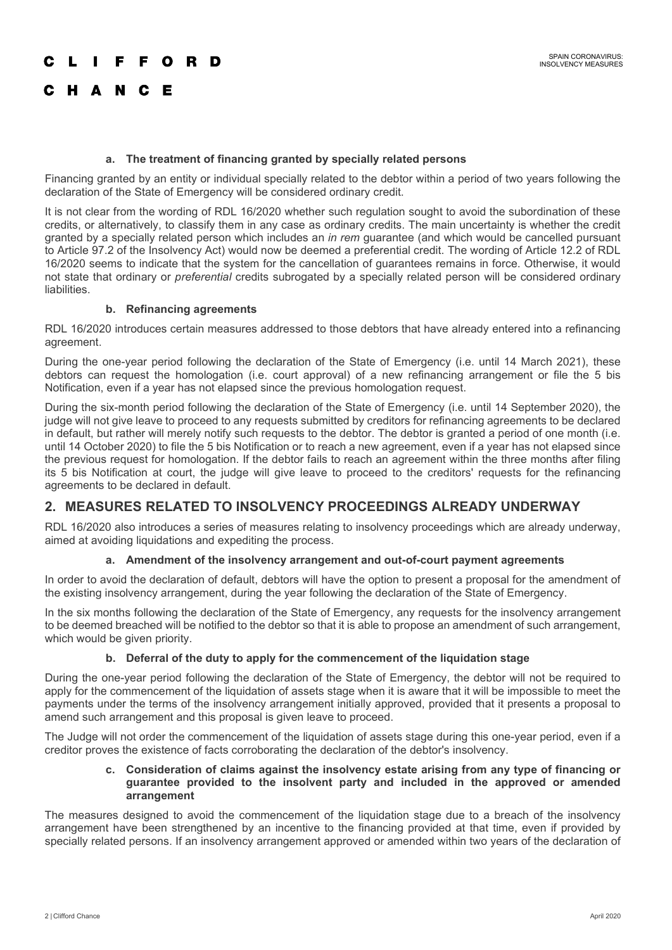#### E. **FORD**

#### **a. The treatment of financing granted by specially related persons**

Financing granted by an entity or individual specially related to the debtor within a period of two years following the declaration of the State of Emergency will be considered ordinary credit.

It is not clear from the wording of RDL 16/2020 whether such regulation sought to avoid the subordination of these credits, or alternatively, to classify them in any case as ordinary credits. The main uncertainty is whether the credit granted by a specially related person which includes an *in rem* guarantee (and which would be cancelled pursuant to Article 97.2 of the Insolvency Act) would now be deemed a preferential credit. The wording of Article 12.2 of RDL 16/2020 seems to indicate that the system for the cancellation of guarantees remains in force. Otherwise, it would not state that ordinary or *preferential* credits subrogated by a specially related person will be considered ordinary liabilities.

### **b. Refinancing agreements**

RDL 16/2020 introduces certain measures addressed to those debtors that have already entered into a refinancing agreement.

During the one-year period following the declaration of the State of Emergency (i.e. until 14 March 2021), these debtors can request the homologation (i.e. court approval) of a new refinancing arrangement or file the 5 bis Notification, even if a year has not elapsed since the previous homologation request.

During the six-month period following the declaration of the State of Emergency (i.e. until 14 September 2020), the judge will not give leave to proceed to any requests submitted by creditors for refinancing agreements to be declared in default, but rather will merely notify such requests to the debtor. The debtor is granted a period of one month (i.e. until 14 October 2020) to file the 5 bis Notification or to reach a new agreement, even if a year has not elapsed since the previous request for homologation. If the debtor fails to reach an agreement within the three months after filing its 5 bis Notification at court, the judge will give leave to proceed to the creditors' requests for the refinancing agreements to be declared in default.

## **2. MEASURES RELATED TO INSOLVENCY PROCEEDINGS ALREADY UNDERWAY**

RDL 16/2020 also introduces a series of measures relating to insolvency proceedings which are already underway, aimed at avoiding liquidations and expediting the process.

#### **a. Amendment of the insolvency arrangement and out-of-court payment agreements**

In order to avoid the declaration of default, debtors will have the option to present a proposal for the amendment of the existing insolvency arrangement, during the year following the declaration of the State of Emergency.

In the six months following the declaration of the State of Emergency, any requests for the insolvency arrangement to be deemed breached will be notified to the debtor so that it is able to propose an amendment of such arrangement, which would be given priority.

#### **b. Deferral of the duty to apply for the commencement of the liquidation stage**

During the one-year period following the declaration of the State of Emergency, the debtor will not be required to apply for the commencement of the liquidation of assets stage when it is aware that it will be impossible to meet the payments under the terms of the insolvency arrangement initially approved, provided that it presents a proposal to amend such arrangement and this proposal is given leave to proceed.

The Judge will not order the commencement of the liquidation of assets stage during this one-year period, even if a creditor proves the existence of facts corroborating the declaration of the debtor's insolvency.

#### **c. Consideration of claims against the insolvency estate arising from any type of financing or guarantee provided to the insolvent party and included in the approved or amended arrangement**

The measures designed to avoid the commencement of the liquidation stage due to a breach of the insolvency arrangement have been strengthened by an incentive to the financing provided at that time, even if provided by specially related persons. If an insolvency arrangement approved or amended within two years of the declaration of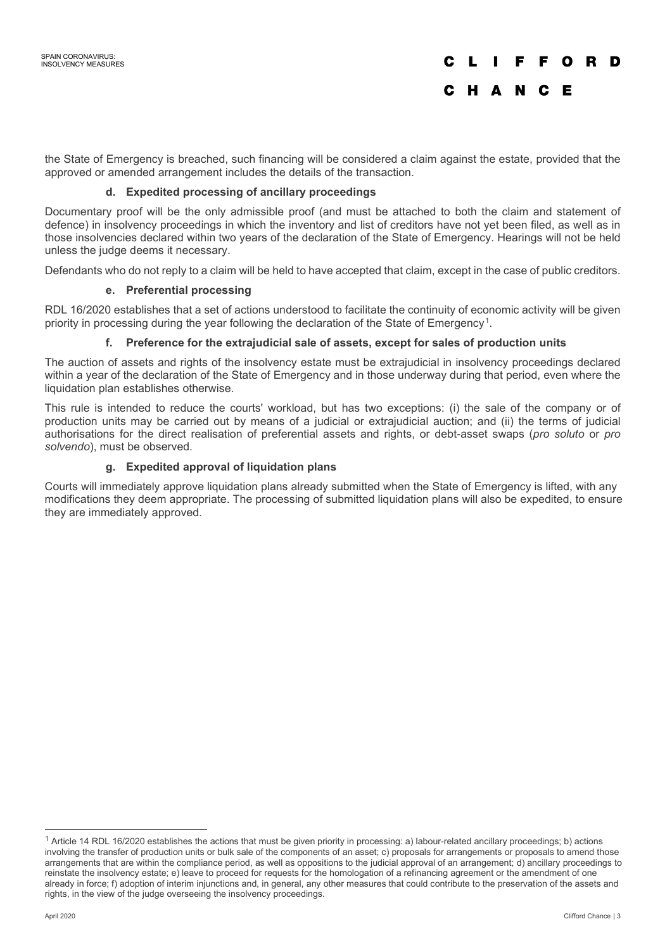the State of Emergency is breached, such financing will be considered a claim against the estate, provided that the approved or amended arrangement includes the details of the transaction.

### **d. Expedited processing of ancillary proceedings**

Documentary proof will be the only admissible proof (and must be attached to both the claim and statement of defence) in insolvency proceedings in which the inventory and list of creditors have not yet been filed, as well as in those insolvencies declared within two years of the declaration of the State of Emergency. Hearings will not be held unless the judge deems it necessary.

Defendants who do not reply to a claim will be held to have accepted that claim, except in the case of public creditors.

### **e. Preferential processing**

RDL 16/2020 establishes that a set of actions understood to facilitate the continuity of economic activity will be given priority in processing during the year following the declaration of the State of Emergency[1.](#page-2-0)

### **f. Preference for the extrajudicial sale of assets, except for sales of production units**

The auction of assets and rights of the insolvency estate must be extrajudicial in insolvency proceedings declared within a year of the declaration of the State of Emergency and in those underway during that period, even where the liquidation plan establishes otherwise.

This rule is intended to reduce the courts' workload, but has two exceptions: (i) the sale of the company or of production units may be carried out by means of a judicial or extrajudicial auction; and (ii) the terms of judicial authorisations for the direct realisation of preferential assets and rights, or debt-asset swaps (*pro soluto* or *pro solvendo*), must be observed.

### **g. Expedited approval of liquidation plans**

Courts will immediately approve liquidation plans already submitted when the State of Emergency is lifted, with any modifications they deem appropriate. The processing of submitted liquidation plans will also be expedited, to ensure they are immediately approved.

<span id="page-2-0"></span> $1$  Article 14 RDL 16/2020 establishes the actions that must be given priority in processing: a) labour-related ancillary proceedings; b) actions involving the transfer of production units or bulk sale of the components of an asset; c) proposals for arrangements or proposals to amend those arrangements that are within the compliance period, as well as oppositions to the judicial approval of an arrangement; d) ancillary proceedings to reinstate the insolvency estate; e) leave to proceed for requests for the homologation of a refinancing agreement or the amendment of one already in force; f) adoption of interim injunctions and, in general, any other measures that could contribute to the preservation of the assets and rights, in the view of the judge overseeing the insolvency proceedings.